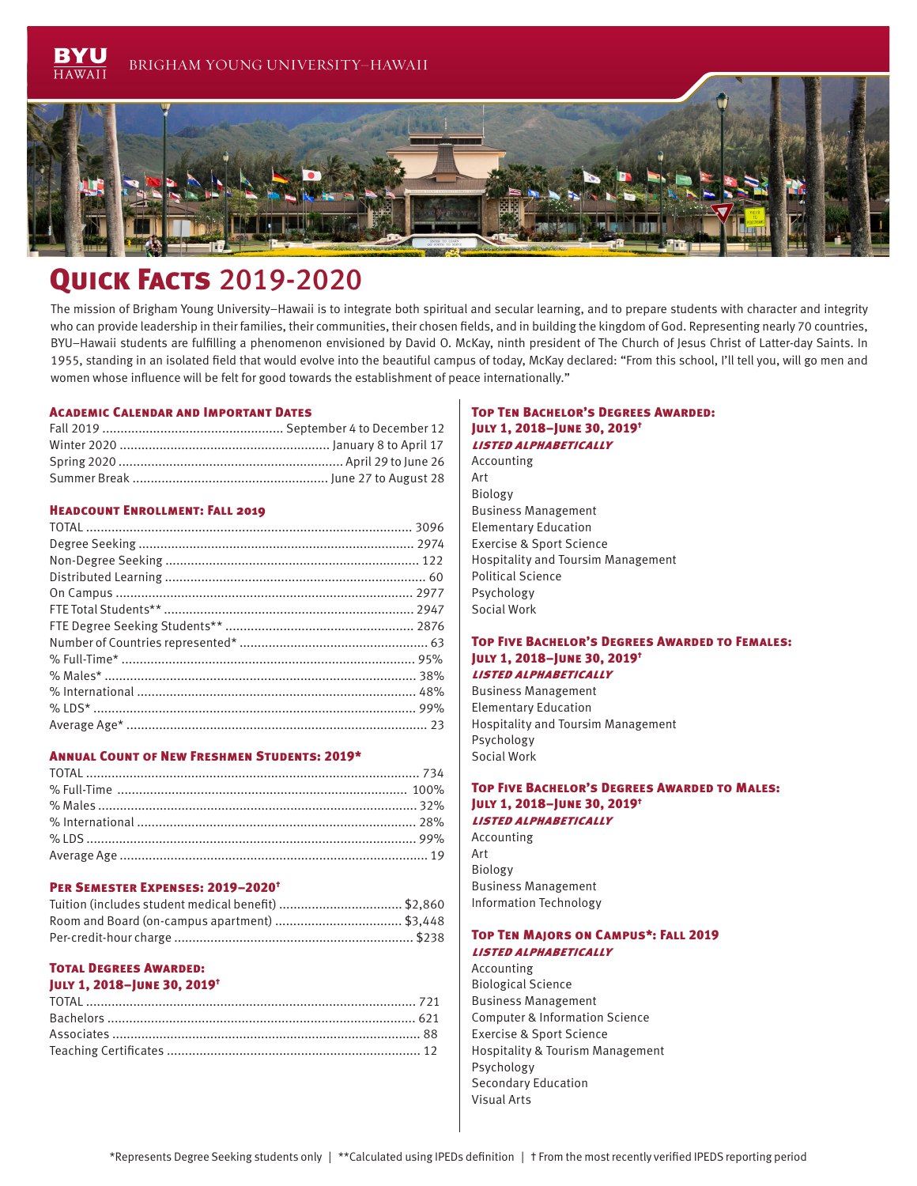

# **QUICK FACTS 2019-2020**

The mission of Brigham Young University–Hawaii is to integrate both spiritual and secular learning, and to prepare students with character and integrity who can provide leadership in their families, their communities, their chosen fields, and in building the kingdom of God. Representing nearly 70 countries, BYU–Hawaii students are fulfilling a phenomenon envisioned by David O. McKay, ninth president of The Church of Jesus Christ of Latter-day Saints. In 1955, standing in an isolated field that would evolve into the beautiful campus of today, McKay declared: "From this school, I'll tell you, will go men and women whose influence will be felt for good towards the establishment of peace internationally."

#### Academic Calendar and Important Dates

#### Headcount Enrollment: Fall 2019

#### Annual Count of New Freshmen Students: 2019\*

#### Per Semester Expenses: 2019–2020†

| Tuition (includes student medical benefit) \$2,860 |  |
|----------------------------------------------------|--|
|                                                    |  |
|                                                    |  |

### Total Degrees Awarded:

# July 1, 2018–June 30, 2019†

#### Top Ten Bachelor's Degrees Awarded: July 1, 2018–June 30, 2019† listed alphabetically

# Accounting Art

Biology Business Management Elementary Education Exercise & Sport Science Hospitality and Toursim Management Political Science Psychology Social Work

#### Top Five Bachelor's Degrees Awarded to Females: July 1, 2018–June 30, 2019† listed alphabetically

Business Management Elementary Education Hospitality and Toursim Management Psychology Social Work

#### Top Five Bachelor's Degrees Awarded to Males: July 1, 2018–June 30, 2019† listed alphabetically

Accounting Art Biology Business Management Information Technology

#### Top Ten Majors on Campus\*: Fall 2019 listed alphabetically

Accounting Biological Science Business Management Computer & Information Science Exercise & Sport Science Hospitality & Tourism Management Psychology Secondary Education Visual Arts